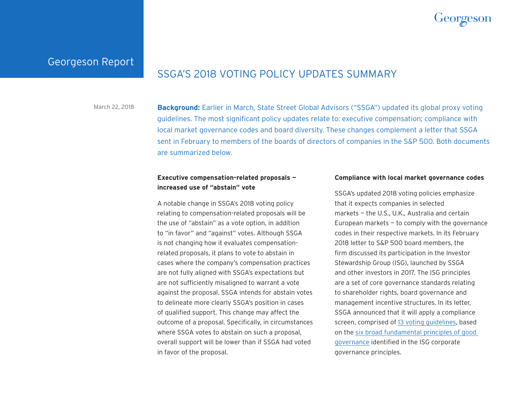

## Georgeson Report

# SSGA'S 2018 VOTING POLICY UPDATES SUMMARY

**Background:** Earlier in March, State Street Global Advisors ("SSGA") updated its global proxy voting guidelines. The most significant policy updates relate to: executive compensation; compliance with local market governance codes and board diversity. These changes complement a letter that SSGA sent in February to members of the boards of directors of companies in the S&P 500. Both documents are summarized below. March 22, 2018

## **Executive compensation-related proposals increased use of "abstain" vote**

A notable change in SSGA's 2018 voting policy relating to compensation-related proposals will be the use of "abstain" as a vote option, in addition to "in favor" and "against" votes. Although SSGA is not changing how it evaluates compensationrelated proposals, it plans to vote to abstain in cases where the company's compensation practices are not fully aligned with SSGA's expectations but are not sufficiently misaligned to warrant a vote against the proposal. SSGA intends for abstain votes to delineate more clearly SSGA's position in cases of qualified support. This change may affect the outcome of a proposal. Specifically, in circumstances where SSGA votes to abstain on such a proposal, overall support will be lower than if SSGA had voted in favor of the proposal.

## **Compliance with local market governance codes**

SSGA's updated 2018 voting policies emphasize that it expects companies in selected markets — the U.S., U.K., Australia and certain European markets  $-$  to comply with the governance codes in their respective markets. In its February 2018 letter to S&P 500 board members, the firm discussed its participation in the Investor Stewardship Group (ISG), launched by SSGA and other investors in 2017. The ISG principles are a set of core governance standards relating to shareholder rights, board governance and management incentive structures. In its letter, SSGA announced that it will apply a compliance screen, comprised of [13 voting guidelines](https://www.ssga.com/investment-topics/environmental-social-governance/2018/03/Proxy-Voting-and-Engagement-Guidelines-NA-20180301.pdf), based on the [six broad fundamental principles of good](https://www.isgframework.org/corporate-governance-principles/)  [governance](https://www.isgframework.org/corporate-governance-principles/) identified in the ISG corporate governance principles.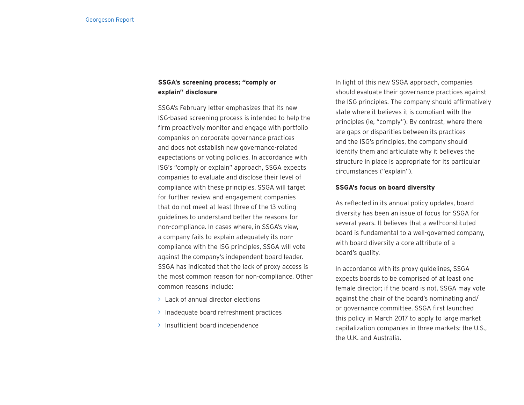## **SSGA's screening process; "comply or explain" disclosure**

SSGA's February letter emphasizes that its new ISG-based screening process is intended to help the firm proactively monitor and engage with portfolio companies on corporate governance practices and does not establish new governance-related expectations or voting policies. In accordance with ISG's "comply or explain" approach, SSGA expects companies to evaluate and disclose their level of compliance with these principles. SSGA will target for further review and engagement companies that do not meet at least three of the 13 voting guidelines to understand better the reasons for non-compliance. In cases where, in SSGA's view, a company fails to explain adequately its noncompliance with the ISG principles, SSGA will vote against the company's independent board leader. SSGA has indicated that the lack of proxy access is the most common reason for non-compliance. Other common reasons include:

- > Lack of annual director elections
- > Inadequate board refreshment practices
- > Insufficient board independence

In light of this new SSGA approach, companies should evaluate their governance practices against the ISG principles. The company should affirmatively state where it believes it is compliant with the principles (ie, "comply"). By contrast, where there are gaps or disparities between its practices and the ISG's principles, the company should identify them and articulate why it believes the structure in place is appropriate for its particular circumstances ("explain").

## **SSGA's focus on board diversity**

As reflected in its annual policy updates, board diversity has been an issue of focus for SSGA for several years. It believes that a well-constituted board is fundamental to a well-governed company, with board diversity a core attribute of a board's quality.

In accordance with its proxy guidelines, SSGA expects boards to be comprised of at least one female director; if the board is not, SSGA may vote against the chair of the board's nominating and/ or governance committee. SSGA first launched this policy in March 2017 to apply to large market capitalization companies in three markets: the U.S., the U.K. and Australia.